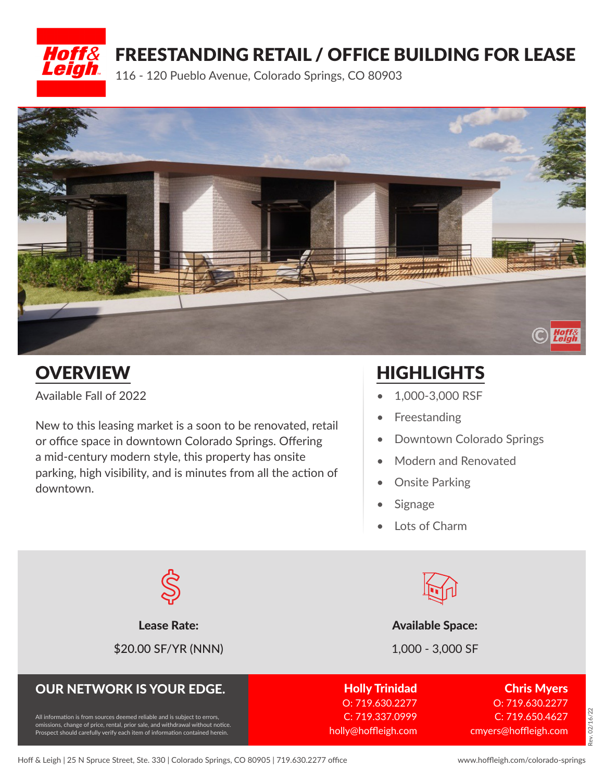



Available Fall of 2022

New to this leasing market is a soon to be renovated, retail or office space in downtown Colorado Springs. Offering a mid-century modern style, this property has onsite parking, high visibility, and is minutes from all the action of downtown.

# OVERVIEW HIGHLIGHTS

- 1,000-3,000 RSF
- Freestanding
- Downtown Colorado Springs
- Modern and Renovated
- **Onsite Parking**
- **Signage**
- Lots of Charm



\$20.00 SF/YR (NNN) 1,000 - 3,000 SF



#### Lease Rate: Available Space: Available Space:

### OUR NETWORK IS YOUR EDGE.

All information is from sources deemed reliable and is subject to errors, omissions, change of price, rental, prior sale, and withdrawal without notice. Prospect should carefully verify each item of information contained herein.

Holly Trinidad

O: 719.630.2277 C: 719.337.0999 holly@hoffleigh.com

Chris Myers O: 719.630.2277 C: 719.650.4627 cmyers@hoffleigh.com